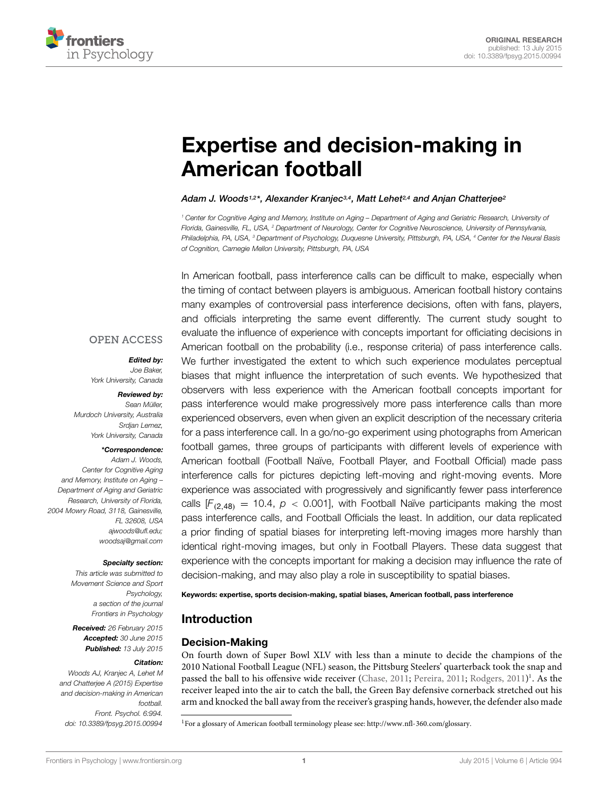

# [Expertise and decision-making in](http://journal.frontiersin.org/article/10.3389/fpsyg.2015.00994/abstract) American football

*[Adam J. Woods1](http://loop.frontiersin.org/people/48609),2\*, [Alexander Kranjec3](http://loop.frontiersin.org/people/18529),4, [Matt Lehet2](http://loop.frontiersin.org/people/234631),4 and [Anjan Chatterjee2](http://loop.frontiersin.org/people/7726)*

*<sup>1</sup> Center for Cognitive Aging and Memory, Institute on Aging – Department of Aging and Geriatric Research, University of Florida, Gainesville, FL, USA, <sup>2</sup> Department of Neurology, Center for Cognitive Neuroscience, University of Pennsylvania, Philadelphia, PA, USA, <sup>3</sup> Department of Psychology, Duquesne University, Pittsburgh, PA, USA, <sup>4</sup> Center for the Neural Basis of Cognition, Carnegie Mellon University, Pittsburgh, PA, USA*

In American football, pass interference calls can be difficult to make, especially when the timing of contact between players is ambiguous. American football history contains many examples of controversial pass interference decisions, often with fans, players, and officials interpreting the same event differently. The current study sought to evaluate the influence of experience with concepts important for officiating decisions in American football on the probability (i.e., response criteria) of pass interference calls. We further investigated the extent to which such experience modulates perceptual biases that might influence the interpretation of such events. We hypothesized that observers with less experience with the American football concepts important for pass interference would make progressively more pass interference calls than more experienced observers, even when given an explicit description of the necessary criteria for a pass interference call. In a go/no-go experiment using photographs from American football games, three groups of participants with different levels of experience with American football (Football Naïve, Football Player, and Football Official) made pass interference calls for pictures depicting left-moving and right-moving events. More experience was associated with progressively and significantly fewer pass interference calls  $[F_{(2,48)} = 10.4, p < 0.001]$ , with Football Naïve participants making the most pass interference calls, and Football Officials the least. In addition, our data replicated a prior finding of spatial biases for interpreting left-moving images more harshly than identical right-moving images, but only in Football Players. These data suggest that experience with the concepts important for making a decision may influence the rate of decision-making, and may also play a role in susceptibility to spatial biases.

Keywords: expertise, sports decision-making, spatial biases, American football, pass interference

# Introduction

### Decision-Making

On fourth down of Super Bowl XLV with less than a minute to decide the champions of the 2010 National Football League (NFL) season, the Pittsburg Steelers' quarterback took the snap and passed the ball to his offensive wide receiver [\(Chase](#page-7-0), [2011;](#page-7-0) [Pereira, 2011;](#page-7-1) [Rodgers, 2011\)](#page-7-2)<sup>[1](#page-0-0)</sup>. As the receiver leaped into the air to catch the ball, the Green Bay defensive cornerback stretched out his arm and knocked the ball away from the receiver's grasping hands, however, the defender also made

### **OPEN ACCESS**

#### *Edited by:*

*Joe Baker, York University, Canada*

#### *Reviewed by:*

*Sean Müller, Murdoch University, Australia Srdjan Lemez, York University, Canada*

#### *\*Correspondence:*

*Adam J. Woods, Center for Cognitive Aging and Memory, Institute on Aging – Department of Aging and Geriatric Research, University of Florida, 2004 Mowry Road, 3118, Gainesville, FL 32608, USA ajwoods@ufl.edu; woodsaj@gmail.com*

#### *Specialty section:*

*This article was submitted to Movement Science and Sport Psychology, a section of the journal Frontiers in Psychology*

*Received: 26 February 2015 Accepted: 30 June 2015 Published: 13 July 2015*

#### *Citation:*

*Woods AJ, Kranjec A, Lehet M and Chatterjee A (2015) Expertise and decision-making in American football. Front. Psychol. 6:994. doi: [10.3389/fpsyg.2015.00994](http://dx.doi.org/10.3389/fpsyg.2015.00994)*

<span id="page-0-0"></span><sup>1</sup>For a glossary of American football terminology please see: [http://www](http://www.nfl-360.com/glossary)*.*nfl-360*.*com/glossary.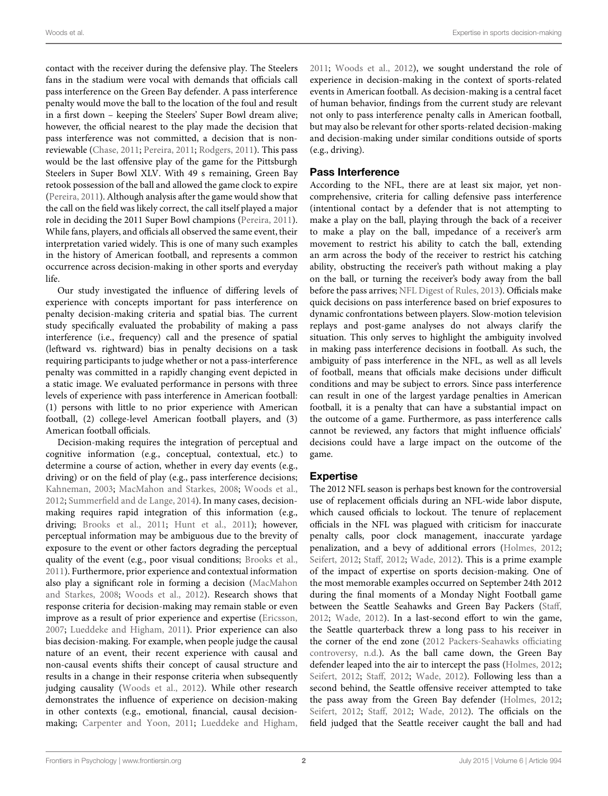contact with the receiver during the defensive play. The Steelers fans in the stadium were vocal with demands that officials call pass interference on the Green Bay defender. A pass interference penalty would move the ball to the location of the foul and result in a first down – keeping the Steelers' Super Bowl dream alive; however, the official nearest to the play made the decision that pass interference was not committed, a decision that is nonreviewable [\(Chase, 2011](#page-7-0); [Pereira](#page-7-1), [2011;](#page-7-1) [Rodgers, 2011\)](#page-7-2). This pass would be the last offensive play of the game for the Pittsburgh Steelers in Super Bowl XLV. With 49 s remaining, Green Bay retook possession of the ball and allowed the game clock to expire [\(Pereira](#page-7-1), [2011](#page-7-1)). Although analysis after the game would show that the call on the field was likely correct, the call itself played a major role in deciding the 2011 Super Bowl champions [\(Pereira](#page-7-1), [2011](#page-7-1)). While fans, players, and officials all observed the same event, their interpretation varied widely. This is one of many such examples in the history of American football, and represents a common occurrence across decision-making in other sports and everyday life.

Our study investigated the influence of differing levels of experience with concepts important for pass interference on penalty decision-making criteria and spatial bias. The current study specifically evaluated the probability of making a pass interference (i.e., frequency) call and the presence of spatial (leftward vs. rightward) bias in penalty decisions on a task requiring participants to judge whether or not a pass-interference penalty was committed in a rapidly changing event depicted in a static image. We evaluated performance in persons with three levels of experience with pass interference in American football: (1) persons with little to no prior experience with American football, (2) college-level American football players, and (3) American football officials.

Decision-making requires the integration of perceptual and cognitive information (e.g., conceptual, contextual, etc.) to determine a course of action, whether in every day events (e.g., driving) or on the field of play (e.g., pass interference decisions; [Kahneman, 2003;](#page-7-3) [MacMahon and Starkes](#page-7-4), [2008](#page-7-4); [Woods et al.](#page-7-5), [2012](#page-7-5); [Summerfield and de Lange](#page-7-6), [2014\)](#page-7-6). In many cases, decisionmaking requires rapid integration of this information (e.g., driving; [Brooks et al., 2011](#page-6-0); [Hunt et al.](#page-7-7), [2011\)](#page-7-7); however, perceptual information may be ambiguous due to the brevity of exposure to the event or other factors degrading the perceptual quality of the event (e.g., poor visual conditions; [Brooks et al.](#page-6-0), [2011](#page-6-0)). Furthermore, prior experience and contextual information also play a [significant role in forming a decision \(](#page-7-4)MacMahon and Starkes, [2008](#page-7-4); [Woods et al.](#page-7-5), [2012\)](#page-7-5). Research shows that response criteria for decision-making may remain stable or even improve as a result of prior experience and expertise [\(Ericsson](#page-7-8), [2007](#page-7-8); [Lueddeke and Higham, 2011\)](#page-7-9). Prior experience can also bias decision-making. For example, when people judge the causal nature of an event, their recent experience with causal and non-causal events shifts their concept of causal structure and results in a change in their response criteria when subsequently judging causality [\(Woods et al., 2012\)](#page-7-5). While other research demonstrates the influence of experience on decision-making in other contexts (e.g., emotional, financial, causal decisionmaking; [Carpenter and Yoon](#page-6-1), [2011;](#page-6-1) [Lueddeke and Higham](#page-7-9),

[2011;](#page-7-9) [Woods et al., 2012\)](#page-7-5), we sought understand the role of experience in decision-making in the context of sports-related events in American football. As decision-making is a central facet of human behavior, findings from the current study are relevant not only to pass interference penalty calls in American football, but may also be relevant for other sports-related decision-making and decision-making under similar conditions outside of sports (e.g., driving).

# Pass Interference

According to the NFL, there are at least six major, yet noncomprehensive, criteria for calling defensive pass interference (intentional contact by a defender that is not attempting to make a play on the ball, playing through the back of a receiver to make a play on the ball, impedance of a receiver's arm movement to restrict his ability to catch the ball, extending an arm across the body of the receiver to restrict his catching ability, obstructing the receiver's path without making a play on the ball, or turning the receiver's body away from the ball before the pass arrives; [NFL Digest of Rules, 2013](#page-7-10)). Officials make quick decisions on pass interference based on brief exposures to dynamic confrontations between players. Slow-motion television replays and post-game analyses do not always clarify the situation. This only serves to highlight the ambiguity involved in making pass interference decisions in football. As such, the ambiguity of pass interference in the NFL, as well as all levels of football, means that officials make decisions under difficult conditions and may be subject to errors. Since pass interference can result in one of the largest yardage penalties in American football, it is a penalty that can have a substantial impact on the outcome of a game. Furthermore, as pass interference calls cannot be reviewed, any factors that might influence officials' decisions could have a large impact on the outcome of the game.

# Expertise

The 2012 NFL season is perhaps best known for the controversial use of replacement officials during an NFL-wide labor dispute, which caused officials to lockout. The tenure of replacement officials in the NFL was plagued with criticism for inaccurate penalty calls, poor clock management, inaccurate yardage penalization, and a bevy of additional errors [\(Holmes](#page-7-11), [2012](#page-7-11); [Seifert, 2012](#page-7-12); [Staff](#page-7-13), [2012;](#page-7-13) [Wade](#page-7-14), [2012\)](#page-7-14). This is a prime example of the impact of expertise on sports decision-making. One of the most memorable examples occurred on September 24th 2012 during the final moments of a Monday Night Football game between the Seattle Seahawks and Green Bay Packers [\(Staff,](#page-7-13) [2012;](#page-7-13) [Wade, 2012\)](#page-7-14). In a last-second effort to win the game, the Seattle quarterback threw a long pass to his receiver in the corner [of](#page-6-2) [the](#page-6-2) [end](#page-6-2) [zone](#page-6-2) [\(](#page-6-2)2012 Packers-Seahawks officiating controversy, [n.d.\)](#page-6-2). As the ball came down, the Green Bay defender leaped into the air to intercept the pass [\(Holmes](#page-7-11), [2012](#page-7-11); [Seifert, 2012;](#page-7-12) [Staff, 2012;](#page-7-13) [Wade, 2012](#page-7-14)). Following less than a second behind, the Seattle offensive receiver attempted to take the pass away from the Green Bay defender [\(Holmes](#page-7-11), [2012](#page-7-11); [Seifert, 2012](#page-7-12); [Staff](#page-7-13), [2012;](#page-7-13) [Wade, 2012](#page-7-14)). The officials on the field judged that the Seattle receiver caught the ball and had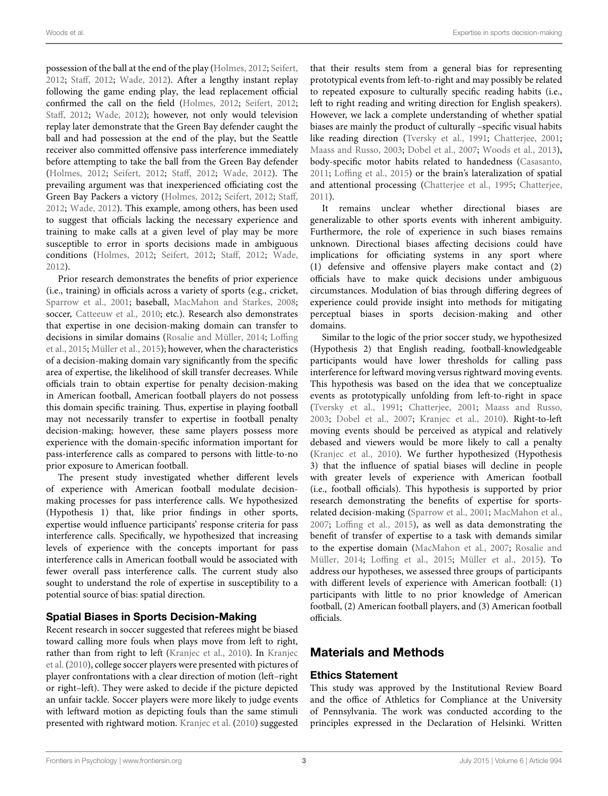possession of the ball at the end of the play [\(Holmes](#page-7-11), [2012](#page-7-11); [Seifert,](#page-7-12) [2012](#page-7-12); [Staff](#page-7-13), [2012;](#page-7-13) [Wade, 2012\)](#page-7-14). After a lengthy instant replay following the game ending play, the lead replacement official confirmed the call on the field [\(Holmes, 2012;](#page-7-11) [Seifert, 2012;](#page-7-12) [Staff, 2012;](#page-7-13) [Wade, 2012\)](#page-7-14); however, not only would television replay later demonstrate that the Green Bay defender caught the ball and had possession at the end of the play, but the Seattle receiver also committed offensive pass interference immediately before attempting to take the ball from the Green Bay defender [\(Holmes](#page-7-11), [2012;](#page-7-11) [Seifert, 2012](#page-7-12); [Staff](#page-7-13), [2012;](#page-7-13) [Wade, 2012](#page-7-14)). The prevailing argument was that inexperienced officiating cost the Green Bay Packers a victory [\(Holmes](#page-7-11), [2012;](#page-7-11) [Seifert](#page-7-12), [2012;](#page-7-12) [Staff,](#page-7-13) [2012](#page-7-13); [Wade](#page-7-14), [2012](#page-7-14)). This example, among others, has been used to suggest that officials lacking the necessary experience and training to make calls at a given level of play may be more susceptible to error in sports decisions made in ambiguous conditions [\(Holmes, 2012](#page-7-11); [Seifert, 2012;](#page-7-12) [Staff](#page-7-13), [2012](#page-7-13); [Wade,](#page-7-14) [2012](#page-7-14)).

Prior research demonstrates the benefits of prior experience (i.e., training) in officials across a variety of sports (e.g., cricket, [Sparrow et al., 2001;](#page-7-15) baseball, [MacMahon and Starkes, 2008;](#page-7-4) soccer, [Catteeuw et al., 2010;](#page-7-16) etc.). Research also demonstrates that expertise in one decision-making domain can transfer to deci[sions](#page-7-18) [in](#page-7-18) [similar](#page-7-18) [domains](#page-7-18) [\(Rosalie and Müller](#page-7-17)[,](#page-7-18) [2014;](#page-7-17) Loffing et al., [2015](#page-7-18); [Müller et al., 2015](#page-7-19)); however, when the characteristics of a decision-making domain vary significantly from the specific area of expertise, the likelihood of skill transfer decreases. While officials train to obtain expertise for penalty decision-making in American football, American football players do not possess this domain specific training. Thus, expertise in playing football may not necessarily transfer to expertise in football penalty decision-making; however, these same players possess more experience with the domain-specific information important for pass-interference calls as compared to persons with little-to-no prior exposure to American football.

The present study investigated whether different levels of experience with American football modulate decisionmaking processes for pass interference calls. We hypothesized (Hypothesis 1) that, like prior findings in other sports, expertise would influence participants' response criteria for pass interference calls. Specifically, we hypothesized that increasing levels of experience with the concepts important for pass interference calls in American football would be associated with fewer overall pass interference calls. The current study also sought to understand the role of expertise in susceptibility to a potential source of bias: spatial direction.

# Spatial Biases in Sports Decision-Making

Recent research in soccer suggested that referees might be biased toward calling more fouls when plays move from left to right, rath[er than from right to left \(Kranjec et al., 2010\). In](#page-7-20) Kranjec et al. [\(2010\)](#page-7-20), college soccer players were presented with pictures of player confrontations with a clear direction of motion (left–right or right–left). They were asked to decide if the picture depicted an unfair tackle. Soccer players were more likely to judge events with leftward motion as depicting fouls than the same stimuli presented with rightward motion. [Kranjec et al.](#page-7-20) [\(2010](#page-7-20)) suggested that their results stem from a general bias for representing prototypical events from left-to-right and may possibly be related to repeated exposure to culturally specific reading habits (i.e., left to right reading and writing direction for English speakers). However, we lack a complete understanding of whether spatial biases are mainly the product of culturally –specific visual habits like reading direction [\(Tversky et al.](#page-7-21), [1991](#page-7-21); [Chatterjee, 2001](#page-7-22); [Maass and Russo, 2003;](#page-7-23) [Dobel et al.](#page-7-24), [2007](#page-7-24); [Woods et al., 2013](#page-7-25)), body-specific motor habits related to handedness [\(Casasanto](#page-7-26), [2011](#page-7-26); [Loffing et al., 2015](#page-7-18)) or the brain's lateralization of spatial and attentional processing [\(Chatterjee et al.](#page-7-27), [1995;](#page-7-27) [Chatterjee,](#page-7-28) [2011](#page-7-28)).

It remains unclear whether directional biases are generalizable to other sports events with inherent ambiguity. Furthermore, the role of experience in such biases remains unknown. Directional biases affecting decisions could have implications for officiating systems in any sport where (1) defensive and offensive players make contact and (2) officials have to make quick decisions under ambiguous circumstances. Modulation of bias through differing degrees of experience could provide insight into methods for mitigating perceptual biases in sports decision-making and other domains.

Similar to the logic of the prior soccer study, we hypothesized (Hypothesis 2) that English reading, football-knowledgeable participants would have lower thresholds for calling pass interference for leftward moving versus rightward moving events. This hypothesis was based on the idea that we conceptualize events as prototypically unfolding from left-to-right in space [\(Tversky et al.](#page-7-21), [1991;](#page-7-21) [Chatterjee, 2001;](#page-7-22) [Maass and Russo](#page-7-23), [2003](#page-7-23); [Dobel et al.](#page-7-24), [2007;](#page-7-24) [Kranjec et al., 2010](#page-7-20)). Right-to-left moving events should be perceived as atypical and relatively debased and viewers would be more likely to call a penalty [\(Kranjec et al., 2010](#page-7-20)). We further hypothesized (Hypothesis 3) that the influence of spatial biases will decline in people with greater levels of experience with American football (i.e., football officials). This hypothesis is supported by prior research demonstrating the benefits of expertise for sportsrelated decision-making [\(Sparrow et al., 2001;](#page-7-15) [MacMahon et al.](#page-7-29), [2007](#page-7-29); [Loffing et al., 2015\)](#page-7-18), as well as data demonstrating the benefit of transfer of expertise to a task with demands similar to the [expertise domain](#page-7-17) [\(MacMahon et al.](#page-7-29)[,](#page-7-17) [2007;](#page-7-29) Rosalie and Müller, [2014;](#page-7-17) [Loffing et al.](#page-7-18), [2015;](#page-7-18) [Müller et al.](#page-7-19), [2015\)](#page-7-19). To address our hypotheses, we assessed three groups of participants with different levels of experience with American football: (1) participants with little to no prior knowledge of American football, (2) American football players, and (3) American football officials.

# Materials and Methods

# Ethics Statement

This study was approved by the Institutional Review Board and the office of Athletics for Compliance at the University of Pennsylvania. The work was conducted according to the principles expressed in the Declaration of Helsinki. Written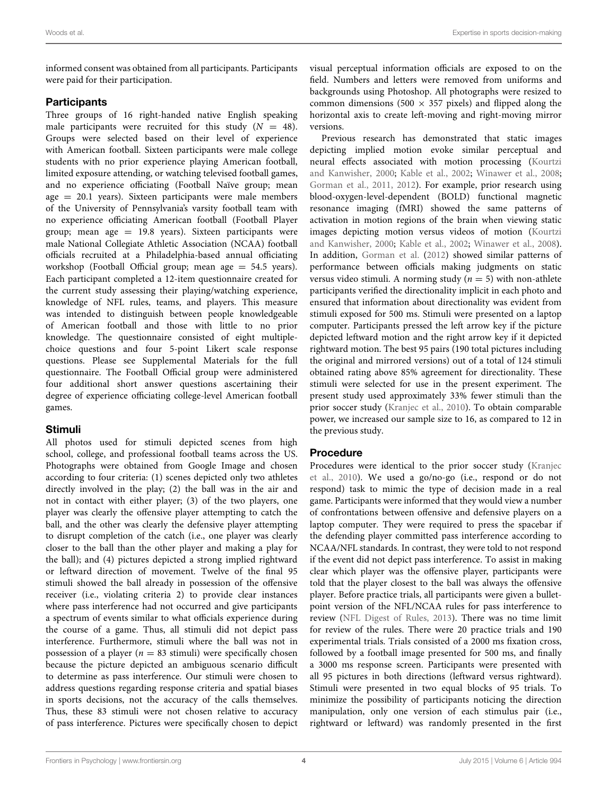informed consent was obtained from all participants. Participants were paid for their participation.

# **Participants**

Three groups of 16 right-handed native English speaking male participants were recruited for this study  $(N = 48)$ . Groups were selected based on their level of experience with American football. Sixteen participants were male college students with no prior experience playing American football, limited exposure attending, or watching televised football games, and no experience officiating (Football Naïve group; mean age  $= 20.1$  years). Sixteen participants were male members of the University of Pennsylvania's varsity football team with no experience officiating American football (Football Player group; mean age  $= 19.8$  years). Sixteen participants were male National Collegiate Athletic Association (NCAA) football officials recruited at a Philadelphia-based annual officiating workshop (Football Official group; mean age = 54.5 years). Each participant completed a 12-item questionnaire created for the current study assessing their playing/watching experience, knowledge of NFL rules, teams, and players. This measure was intended to distinguish between people knowledgeable of American football and those with little to no prior knowledge. The questionnaire consisted of eight multiplechoice questions and four 5-point Likert scale response questions. Please see Supplemental Materials for the full questionnaire. The Football Official group were administered four additional short answer questions ascertaining their degree of experience officiating college-level American football games.

# Stimuli

All photos used for stimuli depicted scenes from high school, college, and professional football teams across the US. Photographs were obtained from Google Image and chosen according to four criteria: (1) scenes depicted only two athletes directly involved in the play; (2) the ball was in the air and not in contact with either player; (3) of the two players, one player was clearly the offensive player attempting to catch the ball, and the other was clearly the defensive player attempting to disrupt completion of the catch (i.e., one player was clearly closer to the ball than the other player and making a play for the ball); and (4) pictures depicted a strong implied rightward or leftward direction of movement. Twelve of the final 95 stimuli showed the ball already in possession of the offensive receiver (i.e., violating criteria 2) to provide clear instances where pass interference had not occurred and give participants a spectrum of events similar to what officials experience during the course of a game. Thus, all stimuli did not depict pass interference. Furthermore, stimuli where the ball was not in possession of a player ( $n = 83$  stimuli) were specifically chosen because the picture depicted an ambiguous scenario difficult to determine as pass interference. Our stimuli were chosen to address questions regarding response criteria and spatial biases in sports decisions, not the accuracy of the calls themselves. Thus, these 83 stimuli were not chosen relative to accuracy of pass interference. Pictures were specifically chosen to depict

visual perceptual information officials are exposed to on the field. Numbers and letters were removed from uniforms and backgrounds using Photoshop. All photographs were resized to common dimensions (500  $\times$  357 pixels) and flipped along the horizontal axis to create left-moving and right-moving mirror versions.

Previous research has demonstrated that static images depicting implied motion evoke similar perceptual and neural effects [associated with motion processing \(](#page-7-30)Kourtzi and Kanwisher, [2000](#page-7-30); [Kable et al., 2002;](#page-7-31) [Winawer et al.](#page-7-32), [2008](#page-7-32); [Gorman et al., 2011,](#page-7-33) [2012](#page-7-34)). For example, prior research using blood-oxygen-level-dependent (BOLD) functional magnetic resonance imaging (fMRI) showed the same patterns of activation in motion regions of the brain when viewing static images depicti[ng](#page-7-30) [motion](#page-7-30) [versus](#page-7-30) [videos](#page-7-30) [of](#page-7-30) [motion](#page-7-30) [\(](#page-7-30)Kourtzi and Kanwisher, [2000;](#page-7-30) [Kable et al., 2002;](#page-7-31) [Winawer et al.](#page-7-32), [2008\)](#page-7-32). In addition, [Gorman et al.](#page-7-34) [\(2012](#page-7-34)) showed similar patterns of performance between officials making judgments on static versus video stimuli. A norming study ( $n = 5$ ) with non-athlete participants verified the directionality implicit in each photo and ensured that information about directionality was evident from stimuli exposed for 500 ms. Stimuli were presented on a laptop computer. Participants pressed the left arrow key if the picture depicted leftward motion and the right arrow key if it depicted rightward motion. The best 95 pairs (190 total pictures including the original and mirrored versions) out of a total of 124 stimuli obtained rating above 85% agreement for directionality. These stimuli were selected for use in the present experiment. The present study used approximately 33% fewer stimuli than the prior soccer study [\(Kranjec et al.](#page-7-20), [2010\)](#page-7-20). To obtain comparable power, we increased our sample size to 16, as compared to 12 in the previous study.

# Procedure

Proc[edures were identical to the prior soccer study \(](#page-7-20)Kranjec et al., [2010\)](#page-7-20). We used a go/no-go (i.e., respond or do not respond) task to mimic the type of decision made in a real game. Participants were informed that they would view a number of confrontations between offensive and defensive players on a laptop computer. They were required to press the spacebar if the defending player committed pass interference according to NCAA/NFL standards. In contrast, they were told to not respond if the event did not depict pass interference. To assist in making clear which player was the offensive player, participants were told that the player closest to the ball was always the offensive player. Before practice trials, all participants were given a bulletpoint version of the NFL/NCAA rules for pass interference to review [\(NFL Digest of Rules](#page-7-10), [2013](#page-7-10)). There was no time limit for review of the rules. There were 20 practice trials and 190 experimental trials. Trials consisted of a 2000 ms fixation cross, followed by a football image presented for 500 ms, and finally a 3000 ms response screen. Participants were presented with all 95 pictures in both directions (leftward versus rightward). Stimuli were presented in two equal blocks of 95 trials. To minimize the possibility of participants noticing the direction manipulation, only one version of each stimulus pair (i.e., rightward or leftward) was randomly presented in the first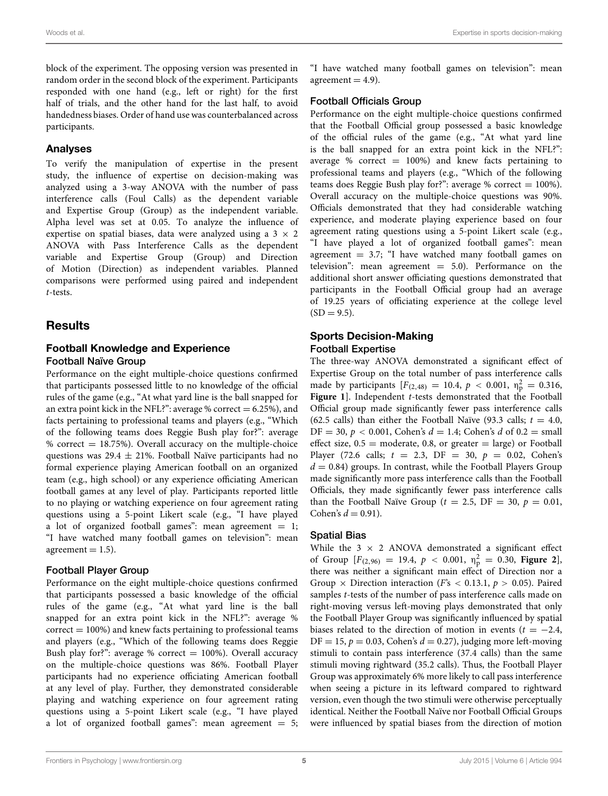block of the experiment. The opposing version was presented in random order in the second block of the experiment. Participants responded with one hand (e.g., left or right) for the first half of trials, and the other hand for the last half, to avoid handedness biases. Order of hand use was counterbalanced across participants.

### Analyses

To verify the manipulation of expertise in the present study, the influence of expertise on decision-making was analyzed using a 3-way ANOVA with the number of pass interference calls (Foul Calls) as the dependent variable and Expertise Group (Group) as the independent variable. Alpha level was set at 0.05. To analyze the influence of expertise on spatial biases, data were analyzed using a  $3 \times 2$ ANOVA with Pass Interference Calls as the dependent variable and Expertise Group (Group) and Direction of Motion (Direction) as independent variables. Planned comparisons were performed using paired and independent *t*-tests.

# **Results**

# Football Knowledge and Experience Football Naïve Group

Performance on the eight multiple-choice questions confirmed that participants possessed little to no knowledge of the official rules of the game (e.g., "At what yard line is the ball snapped for an extra point kick in the NFL?": average % correct  $= 6.25$ %), and facts pertaining to professional teams and players (e.g., "Which of the following teams does Reggie Bush play for?": average % correct  $= 18.75$ %). Overall accuracy on the multiple-choice questions was  $29.4 \pm 21\%$ . Football Naïve participants had no formal experience playing American football on an organized team (e.g., high school) or any experience officiating American football games at any level of play. Participants reported little to no playing or watching experience on four agreement rating questions using a 5-point Likert scale (e.g., "I have played a lot of organized football games": mean agreement  $= 1$ ; "I have watched many football games on television": mean  $agreement = 1.5)$ .

# Football Player Group

Performance on the eight multiple-choice questions confirmed that participants possessed a basic knowledge of the official rules of the game (e.g., "At what yard line is the ball snapped for an extra point kick in the NFL?": average %  $correct = 100\%)$  and knew facts pertaining to professional teams and players (e.g., "Which of the following teams does Reggie Bush play for?": average % correct  $= 100\%$ ). Overall accuracy on the multiple-choice questions was 86%. Football Player participants had no experience officiating American football at any level of play. Further, they demonstrated considerable playing and watching experience on four agreement rating questions using a 5-point Likert scale (e.g., "I have played a lot of organized football games": mean agreement  $= 5$ ; "I have watched many football games on television": mean agreement  $= 4.9$ ).

### Football Officials Group

Performance on the eight multiple-choice questions confirmed that the Football Official group possessed a basic knowledge of the official rules of the game (e.g., "At what yard line is the ball snapped for an extra point kick in the NFL?": average % correct  $= 100\%$  and knew facts pertaining to professional teams and players (e.g., "Which of the following teams does Reggie Bush play for?": average % correct =  $100\%$ ). Overall accuracy on the multiple-choice questions was 90%. Officials demonstrated that they had considerable watching experience, and moderate playing experience based on four agreement rating questions using a 5-point Likert scale (e.g., "I have played a lot of organized football games": mean agreement  $= 3.7$ ; "I have watched many football games on television": mean agreement  $= 5.0$ ). Performance on the additional short answer officiating questions demonstrated that participants in the Football Official group had an average of 19.25 years of officiating experience at the college level  $(SD = 9.5)$ .

### Sports Decision-Making Football Expertise

The three-way ANOVA demonstrated a significant effect of Expertise Group on the total number of pass interference calls made by participants  $[F_{(2,48)} = 10.4, p < 0.001, \eta_{\rm p}^2 = 0.316$ **[Figure 1](#page-5-0)**]. Independent *<sup>t</sup>*-tests demonstrated that the Football Official group made significantly fewer pass interference calls (62.5 calls) than either the Football Naïve (93.3 calls;  $t = 4.0$ , DF = 30,  $p < 0.001$ , Cohen's  $d = 1.4$ ; Cohen's  $d$  of  $0.2$  = small effect size,  $0.5 =$  moderate, 0.8, or greater  $=$  large) or Football Player (72.6 calls; *t* = 2.3, DF = 30, *p* = 0.02, Cohen's  $d = 0.84$ ) groups. In contrast, while the Football Players Group made significantly more pass interference calls than the Football Officials, they made significantly fewer pass interference calls than the Football Naïve Group ( $t = 2.5$ , DF = 30,  $p = 0.01$ , Cohen's  $d = 0.91$ ).

# Spatial Bias

While the 3  $\times$  2 ANOVA demonstrated a significant effect of Group  $[F_{(2,96)} = 19.4, p < 0.001, \eta_p^2 = 0.30, \text{ Figure 2}].$  $[F_{(2,96)} = 19.4, p < 0.001, \eta_p^2 = 0.30, \text{ Figure 2}].$  $[F_{(2,96)} = 19.4, p < 0.001, \eta_p^2 = 0.30, \text{ Figure 2}].$ there was neither a significant main effect of Direction nor a Group  $\times$  Direction interaction ( $F_s$  < 0.13.1,  $p > 0.05$ ). Paired samples *t*-tests of the number of pass interference calls made on right-moving versus left-moving plays demonstrated that only the Football Player Group was significantly influenced by spatial biases related to the direction of motion in events  $(t = -2.4,$  $DF = 15$ ,  $p = 0.03$ , Cohen's  $d = 0.27$ ), judging more left-moving stimuli to contain pass interference (37.4 calls) than the same stimuli moving rightward (35.2 calls). Thus, the Football Player Group was approximately 6% more likely to call pass interference when seeing a picture in its leftward compared to rightward version, even though the two stimuli were otherwise perceptually identical. Neither the Football Naïve nor Football Official Groups were influenced by spatial biases from the direction of motion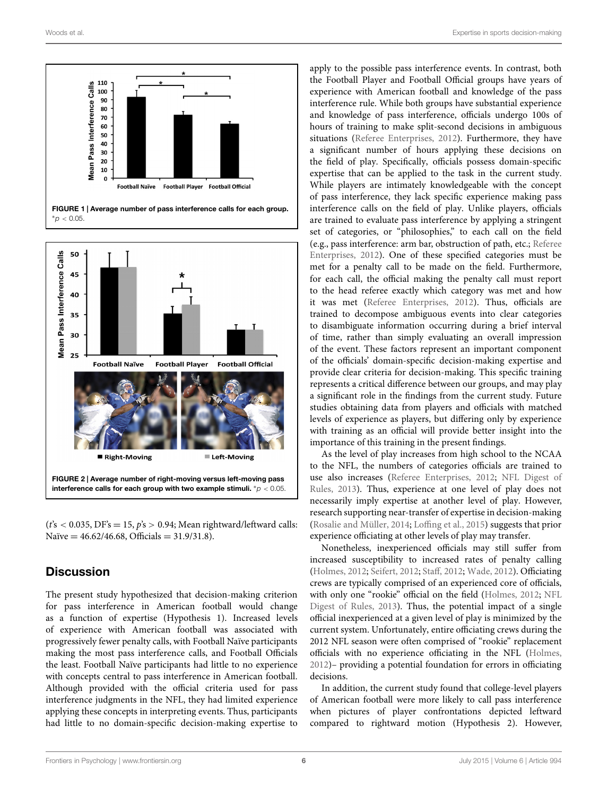

<span id="page-5-0"></span>FIGURE 1 | Average number of pass interference calls for each group. ∗*p <* 0.05.



<span id="page-5-1"></span>(*t*'s *<* 0.035, DF's = 15, *p*'s *>* 0.94; Mean rightward/leftward calls: Naïve =  $46.62/46.68$ , Officials =  $31.9/31.8$ ).

# **Discussion**

The present study hypothesized that decision-making criterion for pass interference in American football would change as a function of expertise (Hypothesis 1). Increased levels of experience with American football was associated with progressively fewer penalty calls, with Football Naïve participants making the most pass interference calls, and Football Officials the least. Football Naïve participants had little to no experience with concepts central to pass interference in American football. Although provided with the official criteria used for pass interference judgments in the NFL, they had limited experience applying these concepts in interpreting events. Thus, participants had little to no domain-specific decision-making expertise to

apply to the possible pass interference events. In contrast, both the Football Player and Football Official groups have years of experience with American football and knowledge of the pass interference rule. While both groups have substantial experience and knowledge of pass interference, officials undergo 100s of hours of training to make split-second decisions in ambiguous situations [\(Referee Enterprises](#page-7-35), [2012\)](#page-7-35). Furthermore, they have a significant number of hours applying these decisions on the field of play. Specifically, officials possess domain-specific expertise that can be applied to the task in the current study. While players are intimately knowledgeable with the concept of pass interference, they lack specific experience making pass interference calls on the field of play. Unlike players, officials are trained to evaluate pass interference by applying a stringent set of categories, or "philosophies," to each call on the field (e.g., pass i[nterference: arm bar, obstruction of path, etc.;](#page-7-35) Referee Enterprises, [2012](#page-7-35)). One of these specified categories must be met for a penalty call to be made on the field. Furthermore, for each call, the official making the penalty call must report to the head referee exactly which category was met and how it was met [\(Referee Enterprises](#page-7-35), [2012\)](#page-7-35). Thus, officials are trained to decompose ambiguous events into clear categories to disambiguate information occurring during a brief interval of time, rather than simply evaluating an overall impression of the event. These factors represent an important component of the officials' domain-specific decision-making expertise and provide clear criteria for decision-making. This specific training represents a critical difference between our groups, and may play a significant role in the findings from the current study. Future studies obtaining data from players and officials with matched levels of experience as players, but differing only by experience with training as an official will provide better insight into the importance of this training in the present findings.

As the level of play increases from high school to the NCAA to the NFL, the numbers of categories officials are trained to use [also increases](#page-7-10) [\(Referee Enterprises](#page-7-35)[,](#page-7-10) [2012;](#page-7-35) NFL Digest of Rules, [2013](#page-7-10)). Thus, experience at one level of play does not necessarily imply expertise at another level of play. However, research supporting near-transfer of expertise in decision-making [\(Rosalie and Müller, 2014](#page-7-17); [Loffing et al.](#page-7-18), [2015\)](#page-7-18) suggests that prior experience officiating at other levels of play may transfer.

Nonetheless, inexperienced officials may still suffer from increased susceptibility to increased rates of penalty calling [\(Holmes, 2012;](#page-7-11) [Seifert](#page-7-12), [2012;](#page-7-12) [Staff, 2012](#page-7-13); [Wade, 2012](#page-7-14)). Officiating crews are typically comprised of an experienced core of officials, with only one ["rookie" official on the field](#page-7-10) [\(Holmes](#page-7-11)[,](#page-7-10) [2012](#page-7-11)[;](#page-7-10) NFL Digest of Rules, [2013\)](#page-7-10). Thus, the potential impact of a single official inexperienced at a given level of play is minimized by the current system. Unfortunately, entire officiating crews during the 2012 NFL season were often comprised of "rookie" replacement officials with no experience officiating in the NFL [\(Holmes](#page-7-11), [2012\)](#page-7-11)– providing a potential foundation for errors in officiating decisions.

In addition, the current study found that college-level players of American football were more likely to call pass interference when pictures of player confrontations depicted leftward compared to rightward motion (Hypothesis 2). However,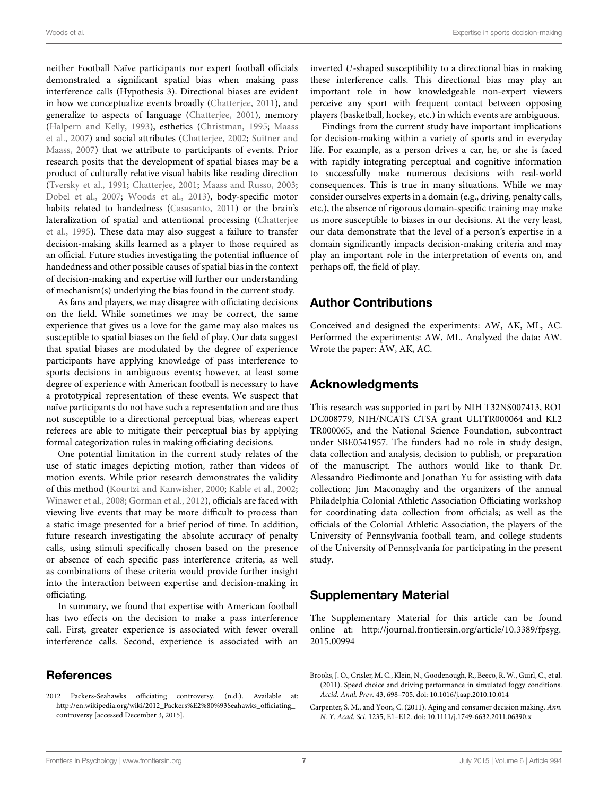Woods et al. Expertise in sports decision-making

neither Football Naïve participants nor expert football officials demonstrated a significant spatial bias when making pass interference calls (Hypothesis 3). Directional biases are evident in how we conceptualize events broadly [\(Chatterjee, 2011](#page-7-28)), and generalize to aspects of language [\(Chatterjee, 2001\)](#page-7-22), memory [\(Halpern and Kelly](#page-7-36), [1993\)](#page-7-36), esthetics [\(Christman](#page-7-37), [1995;](#page-7-37) Maass et al., [2007](#page-7-38)[\) and social attributes](#page-7-40) [\(Chatterjee](#page-7-39)[,](#page-7-40) [2002](#page-7-39)[;](#page-7-40) Suitner and Maass, [2007\)](#page-7-40) that we attribute to participants of events. Prior research posits that the development of spatial biases may be a product of culturally relative visual habits like reading direction [\(Tversky et al.](#page-7-21), [1991](#page-7-21); [Chatterjee](#page-7-22), [2001](#page-7-22); [Maass and Russo, 2003;](#page-7-23) [Dobel et al.](#page-7-24), [2007](#page-7-24); [Woods et al.](#page-7-25), [2013\)](#page-7-25), body-specific motor habits related to handedness [\(Casasanto, 2011](#page-7-26)) or the brain's later[alization of spatial and attentional processing \(](#page-7-27)Chatterjee et al., [1995\)](#page-7-27). These data may also suggest a failure to transfer decision-making skills learned as a player to those required as an official. Future studies investigating the potential influence of handedness and other possible causes of spatial bias in the context of decision-making and expertise will further our understanding of mechanism(s) underlying the bias found in the current study.

As fans and players, we may disagree with officiating decisions on the field. While sometimes we may be correct, the same experience that gives us a love for the game may also makes us susceptible to spatial biases on the field of play. Our data suggest that spatial biases are modulated by the degree of experience participants have applying knowledge of pass interference to sports decisions in ambiguous events; however, at least some degree of experience with American football is necessary to have a prototypical representation of these events. We suspect that naïve participants do not have such a representation and are thus not susceptible to a directional perceptual bias, whereas expert referees are able to mitigate their perceptual bias by applying formal categorization rules in making officiating decisions.

One potential limitation in the current study relates of the use of static images depicting motion, rather than videos of motion events. While prior research demonstrates the validity of this method [\(Kourtzi and Kanwisher, 2000;](#page-7-30) [Kable et al., 2002;](#page-7-31) [Winawer et al., 2008](#page-7-32); [Gorman et al.](#page-7-34), [2012\)](#page-7-34), officials are faced with viewing live events that may be more difficult to process than a static image presented for a brief period of time. In addition, future research investigating the absolute accuracy of penalty calls, using stimuli specifically chosen based on the presence or absence of each specific pass interference criteria, as well as combinations of these criteria would provide further insight into the interaction between expertise and decision-making in officiating.

In summary, we found that expertise with American football has two effects on the decision to make a pass interference call. First, greater experience is associated with fewer overall interference calls. Second, experience is associated with an

# References

<span id="page-6-2"></span>2012 Packers-Seahawks officiating controversy. (n.d.). Available at: [http://en.wikipedia.org/wiki/2012\\_Packers%E2%80%93Seahawks\\_officiating\\_](http://en.wikipedia.org/wiki/2012_Packers%E2%80%93Seahawks_officiating_controversy) [controversy](http://en.wikipedia.org/wiki/2012_Packers%E2%80%93Seahawks_officiating_controversy) [accessed December 3, 2015].

inverted *U*-shaped susceptibility to a directional bias in making these interference calls. This directional bias may play an important role in how knowledgeable non-expert viewers perceive any sport with frequent contact between opposing players (basketball, hockey, etc.) in which events are ambiguous.

Findings from the current study have important implications for decision-making within a variety of sports and in everyday life. For example, as a person drives a car, he, or she is faced with rapidly integrating perceptual and cognitive information to successfully make numerous decisions with real-world consequences. This is true in many situations. While we may consider ourselves experts in a domain (e.g., driving, penalty calls, etc.), the absence of rigorous domain-specific training may make us more susceptible to biases in our decisions. At the very least, our data demonstrate that the level of a person's expertise in a domain significantly impacts decision-making criteria and may play an important role in the interpretation of events on, and perhaps off, the field of play.

# Author Contributions

Conceived and designed the experiments: AW, AK, ML, AC. Performed the experiments: AW, ML. Analyzed the data: AW. Wrote the paper: AW, AK, AC.

# Acknowledgments

This research was supported in part by NIH T32NS007413, RO1 DC008779, NIH/NCATS CTSA grant UL1TR000064 and KL2 TR000065, and the National Science Foundation, subcontract under SBE0541957. The funders had no role in study design, data collection and analysis, decision to publish, or preparation of the manuscript. The authors would like to thank Dr. Alessandro Piedimonte and Jonathan Yu for assisting with data collection; Jim Maconaghy and the organizers of the annual Philadelphia Colonial Athletic Association Officiating workshop for coordinating data collection from officials; as well as the officials of the Colonial Athletic Association, the players of the University of Pennsylvania football team, and college students of the University of Pennsylvania for participating in the present study.

# Supplementary Material

The Supplementary Material for this article can be found online at: [http://journal](http://journal.frontiersin.org/article/10.3389/fpsyg.2015.00994)*.*frontiersin*.*org/article/10*.*3389/fpsyg*.* 2015*.*[00994](http://journal.frontiersin.org/article/10.3389/fpsyg.2015.00994)

- <span id="page-6-0"></span>Brooks, J. O., Crisler, M. C., Klein, N., Goodenough, R., Beeco, R. W., Guirl, C., et al. (2011). Speed choice and driving performance in simulated foggy conditions. *Accid. Anal. Prev.* 43, 698–705. doi: 10.1016/j.aap.2010.10.014
- <span id="page-6-1"></span>Carpenter, S. M., and Yoon, C. (2011). Aging and consumer decision making. *Ann. N. Y. Acad. Sci.* 1235, E1–E12. doi: 10.1111/j.1749-6632.2011.06390.x